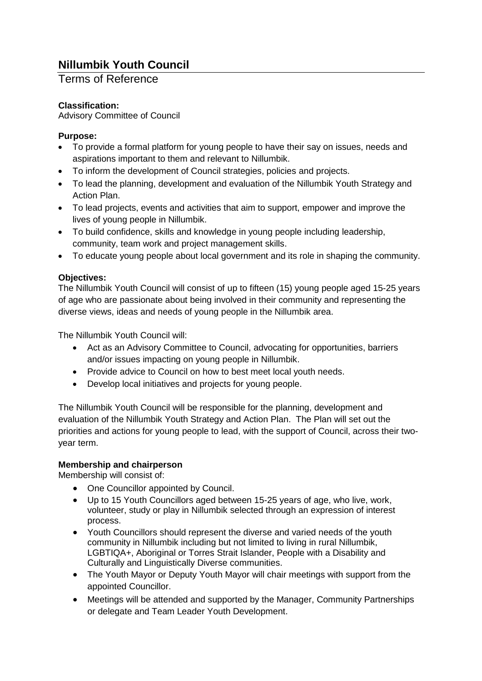# **Nillumbik Youth Council**

# Terms of Reference

# **Classification:**

Advisory Committee of Council

# **Purpose:**

- To provide a formal platform for young people to have their say on issues, needs and aspirations important to them and relevant to Nillumbik.
- To inform the development of Council strategies, policies and projects.
- To lead the planning, development and evaluation of the Nillumbik Youth Strategy and Action Plan.
- To lead projects, events and activities that aim to support, empower and improve the lives of young people in Nillumbik.
- To build confidence, skills and knowledge in young people including leadership, community, team work and project management skills.
- To educate young people about local government and its role in shaping the community.

# **Objectives:**

The Nillumbik Youth Council will consist of up to fifteen (15) young people aged 15-25 years of age who are passionate about being involved in their community and representing the diverse views, ideas and needs of young people in the Nillumbik area.

The Nillumbik Youth Council will:

- Act as an Advisory Committee to Council, advocating for opportunities, barriers and/or issues impacting on young people in Nillumbik.
- Provide advice to Council on how to best meet local youth needs.
- Develop local initiatives and projects for young people.

The Nillumbik Youth Council will be responsible for the planning, development and evaluation of the Nillumbik Youth Strategy and Action Plan. The Plan will set out the priorities and actions for young people to lead, with the support of Council, across their twoyear term.

# **Membership and chairperson**

Membership will consist of:

- One Councillor appointed by Council.
- Up to 15 Youth Councillors aged between 15-25 years of age, who live, work, volunteer, study or play in Nillumbik selected through an expression of interest process.
- Youth Councillors should represent the diverse and varied needs of the youth community in Nillumbik including but not limited to living in rural Nillumbik, LGBTIQA+, Aboriginal or Torres Strait Islander, People with a Disability and Culturally and Linguistically Diverse communities.
- The Youth Mayor or Deputy Youth Mayor will chair meetings with support from the appointed Councillor.
- Meetings will be attended and supported by the Manager, Community Partnerships or delegate and Team Leader Youth Development.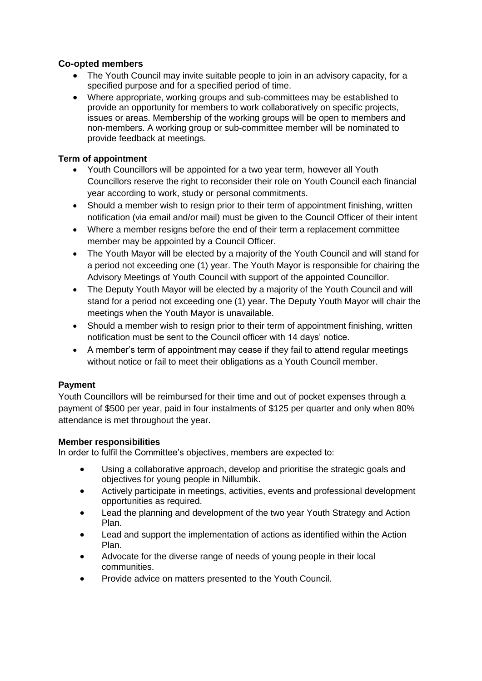# **Co-opted members**

- The Youth Council may invite suitable people to join in an advisory capacity, for a specified purpose and for a specified period of time.
- Where appropriate, working groups and sub-committees may be established to provide an opportunity for members to work collaboratively on specific projects, issues or areas. Membership of the working groups will be open to members and non-members. A working group or sub-committee member will be nominated to provide feedback at meetings.

#### **Term of appointment**

- Youth Councillors will be appointed for a two year term, however all Youth Councillors reserve the right to reconsider their role on Youth Council each financial year according to work, study or personal commitments.
- Should a member wish to resign prior to their term of appointment finishing, written notification (via email and/or mail) must be given to the Council Officer of their intent
- Where a member resigns before the end of their term a replacement committee member may be appointed by a Council Officer.
- The Youth Mayor will be elected by a majority of the Youth Council and will stand for a period not exceeding one (1) year. The Youth Mayor is responsible for chairing the Advisory Meetings of Youth Council with support of the appointed Councillor.
- The Deputy Youth Mayor will be elected by a majority of the Youth Council and will stand for a period not exceeding one (1) year. The Deputy Youth Mayor will chair the meetings when the Youth Mayor is unavailable.
- Should a member wish to resign prior to their term of appointment finishing, written notification must be sent to the Council officer with 14 days' notice.
- A member's term of appointment may cease if they fail to attend regular meetings without notice or fail to meet their obligations as a Youth Council member.

#### **Payment**

Youth Councillors will be reimbursed for their time and out of pocket expenses through a payment of \$500 per year, paid in four instalments of \$125 per quarter and only when 80% attendance is met throughout the year.

#### **Member responsibilities**

In order to fulfil the Committee's objectives, members are expected to:

- Using a collaborative approach, develop and prioritise the strategic goals and objectives for young people in Nillumbik.
- Actively participate in meetings, activities, events and professional development opportunities as required.
- Lead the planning and development of the two year Youth Strategy and Action Plan.
- Lead and support the implementation of actions as identified within the Action Plan.
- Advocate for the diverse range of needs of young people in their local communities.
- Provide advice on matters presented to the Youth Council.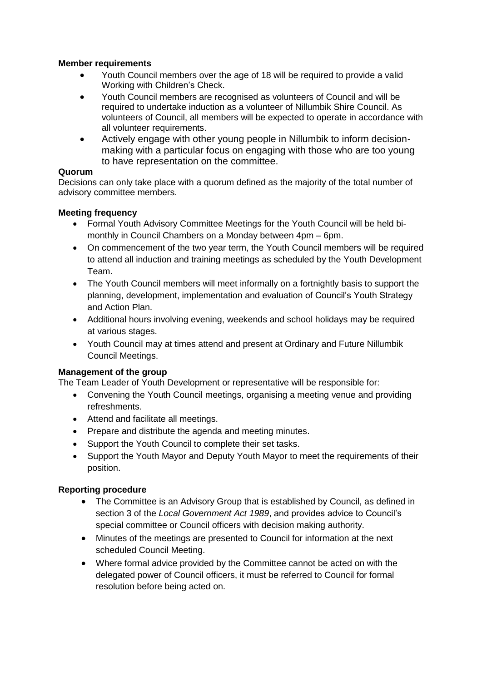#### **Member requirements**

- Youth Council members over the age of 18 will be required to provide a valid Working with Children's Check.
- Youth Council members are recognised as volunteers of Council and will be required to undertake induction as a volunteer of Nillumbik Shire Council. As volunteers of Council, all members will be expected to operate in accordance with all volunteer requirements.
- Actively engage with other young people in Nillumbik to inform decisionmaking with a particular focus on engaging with those who are too young to have representation on the committee.

#### **Quorum**

Decisions can only take place with a quorum defined as the majority of the total number of advisory committee members.

#### **Meeting frequency**

- Formal Youth Advisory Committee Meetings for the Youth Council will be held bimonthly in Council Chambers on a Monday between 4pm – 6pm.
- On commencement of the two year term, the Youth Council members will be required to attend all induction and training meetings as scheduled by the Youth Development Team.
- The Youth Council members will meet informally on a fortnightly basis to support the planning, development, implementation and evaluation of Council's Youth Strategy and Action Plan.
- Additional hours involving evening, weekends and school holidays may be required at various stages.
- Youth Council may at times attend and present at Ordinary and Future Nillumbik Council Meetings.

#### **Management of the group**

The Team Leader of Youth Development or representative will be responsible for:

- Convening the Youth Council meetings, organising a meeting venue and providing refreshments.
- Attend and facilitate all meetings.
- Prepare and distribute the agenda and meeting minutes.
- Support the Youth Council to complete their set tasks.
- Support the Youth Mayor and Deputy Youth Mayor to meet the requirements of their position.

# **Reporting procedure**

- The Committee is an Advisory Group that is established by Council, as defined in section 3 of the *Local Government Act 1989*, and provides advice to Council's special committee or Council officers with decision making authority.
- Minutes of the meetings are presented to Council for information at the next scheduled Council Meeting.
- Where formal advice provided by the Committee cannot be acted on with the delegated power of Council officers, it must be referred to Council for formal resolution before being acted on.